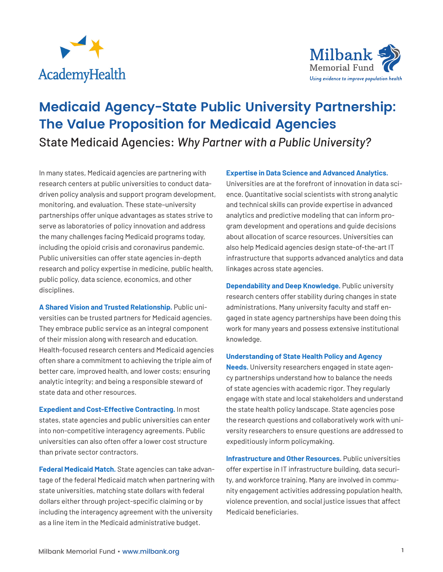



# **Medicaid Agency-State Public University Partnership: The Value Proposition for Medicaid Agencies** State Medicaid Agencies: *Why Partner with a Public University?*

In many states, Medicaid agencies are partnering with research centers at public universities to conduct datadriven policy analysis and support program development, monitoring, and evaluation. These state–university partnerships offer unique advantages as states strive to serve as laboratories of policy innovation and address the many challenges facing Medicaid programs today, including the opioid crisis and coronavirus pandemic. Public universities can offer state agencies in-depth research and policy expertise in medicine, public health, public policy, data science, economics, and other disciplines.

**A Shared Vision and Trusted Relationship.** Public universities can be trusted partners for Medicaid agencies. They embrace public service as an integral component of their mission along with research and education. Health-focused research centers and Medicaid agencies often share a commitment to achieving the triple aim of better care, improved health, and lower costs; ensuring analytic integrity; and being a responsible steward of state data and other resources.

**Expedient and Cost-Effective Contracting.** In most states, state agencies and public universities can enter into non-competitive interagency agreements. Public universities can also often offer a lower cost structure than private sector contractors.

**Federal Medicaid Match.** State agencies can take advantage of the federal Medicaid match when partnering with state universities, matching state dollars with federal dollars either through project-specific claiming or by including the interagency agreement with the university as a line item in the Medicaid administrative budget.

### **Expertise in Data Science and Advanced Analytics.**

Universities are at the forefront of innovation in data science. Quantitative social scientists with strong analytic and technical skills can provide expertise in advanced analytics and predictive modeling that can inform program development and operations and guide decisions about allocation of scarce resources. Universities can also help Medicaid agencies design state-of-the-art IT infrastructure that supports advanced analytics and data linkages across state agencies.

**Dependability and Deep Knowledge.** Public university research centers offer stability during changes in state administrations. Many university faculty and staff engaged in state agency partnerships have been doing this work for many years and possess extensive institutional knowledge.

#### **Understanding of State Health Policy and Agency**

**Needs.** University researchers engaged in state agency partnerships understand how to balance the needs of state agencies with academic rigor. They regularly engage with state and local stakeholders and understand the state health policy landscape. State agencies pose the research questions and collaboratively work with university researchers to ensure questions are addressed to expeditiously inform policymaking.

**Infrastructure and Other Resources.** Public universities offer expertise in IT infrastructure building, data security, and workforce training. Many are involved in community engagement activities addressing population health, violence prevention, and social justice issues that affect Medicaid beneficiaries.